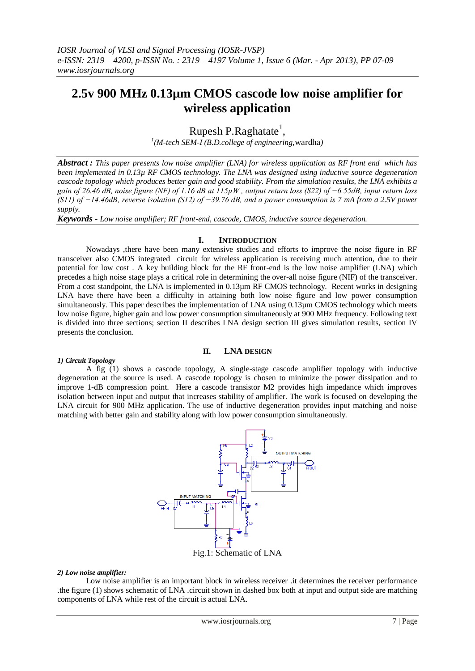# **2.5v 900 MHz 0.13µm CMOS cascode low noise amplifier for wireless application**

Rupesh P.Raghatate<sup>1</sup>,

*1 (M-tech SEM-I (B.D.college of engineering*,wardha*)*

*Abstract : This paper presents low noise amplifier (LNA) for wireless application as RF front end which has been implemented in 0.13µ RF CMOS technology. The LNA was designed using inductive source degeneration cascode topology which produces better gain and good stability. From the simulation results, the LNA exhibits a gain of 26.46 dB, noise figure (NF) of 1.16 dB at 115µW , output return loss (S22) of −6.55dB, input return loss (S11) of −14.46dB, reverse isolation (S12) of −39.76 dB, and a power consumption is 7 mA from a 2.5V power supply.*

*Keywords - Low noise amplifier; RF front-end, cascode, CMOS, inductive source degeneration.*

# **I. INTRODUCTION**

Nowadays ,there have been many extensive studies and efforts to improve the noise figure in RF transceiver also CMOS integrated circuit for wireless application is receiving much attention, due to their potential for low cost . A key building block for the RF front-end is the low noise amplifier (LNA) which precedes a high noise stage plays a critical role in determining the over-all noise figure (NIF) of the transceiver. From a cost standpoint, the LNA is implemented in 0.13µm RF CMOS technology. Recent works in designing LNA have there have been a difficulty in attaining both low noise figure and low power consumption simultaneously. This paper describes the implementation of LNA using 0.13µm CMOS technology which meets low noise figure, higher gain and low power consumption simultaneously at 900 MHz frequency. Following text is divided into three sections; section II describes LNA design section III gives simulation results, section IV presents the conclusion.

# **II. LNA DESIGN**

## *1) Circuit Topology*

A fig (1) shows a cascode topology, A single-stage cascode amplifier topology with inductive degeneration at the source is used. A cascode topology is chosen to minimize the power dissipation and to improve 1-dB compression point. Here a cascode transistor M2 provides high impedance which improves isolation between input and output that increases stability of amplifier. The work is focused on developing the LNA circuit for 900 MHz application. The use of inductive degeneration provides input matching and noise matching with better gain and stability along with low power consumption simultaneously.



#### *2) Low noise amplifier:*

Low noise amplifier is an important block in wireless receiver .it determines the receiver performance .the figure (1) shows schematic of LNA .circuit shown in dashed box both at input and output side are matching components of LNA while rest of the circuit is actual LNA.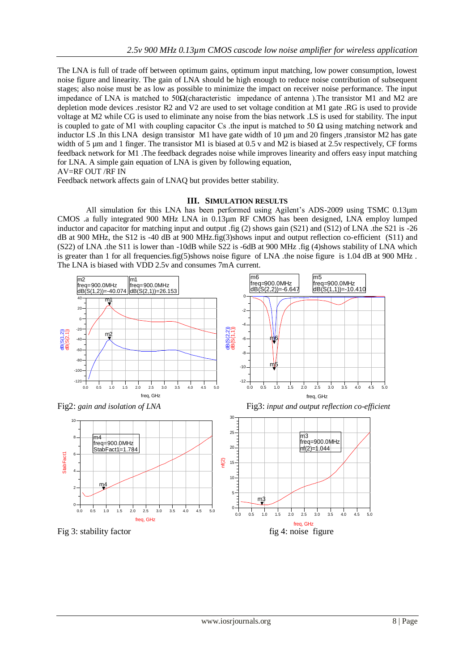The LNA is full of trade off between optimum gains, optimum input matching, low power consumption, lowest noise figure and linearity. The gain of LNA should be high enough to reduce noise contribution of subsequent stages; also noise must be as low as possible to minimize the impact on receiver noise performance. The input impedance of LNA is matched to  $50\Omega$ (characteristic impedance of antenna). The transistor M1 and M2 are depletion mode devices .resistor R2 and V2 are used to set voltage condition at M1 gate .RG is used to provide voltage at M2 while CG is used to eliminate any noise from the bias network .LS is used for stability. The input is coupled to gate of M1 with coupling capacitor Cs .the input is matched to 50  $\Omega$  using matching network and inductor LS .In this LNA design transistor M1 have gate width of 10 µm and 20 fingers ,transistor M2 has gate width of 5 µm and 1 finger. The transistor M1 is biased at 0.5 v and M2 is biased at 2.5v respectively, CF forms feedback network for M1 .The feedback degrades noise while improves linearity and offers easy input matching for LNA. A simple gain equation of LNA is given by following equation,

AV=RF OUT /RF IN

Feedback network affects gain of LNAQ but provides better stability.

## **III. SIMULATION RESULTS**

All simulation for this LNA has been performed using Agilent's ADS-2009 using TSMC 0.13µm CMOS .a fully integrated 900 MHz LNA in 0.13µm RF CMOS has been designed, LNA employ lumped inductor and capacitor for matching input and output .fig (2) shows gain (S21) and (S12) of LNA .the S21 is -26 dB at 900 MHz, the S12 is -40 dB at 900 MHz.fig(3)shows input and output reflection co-efficient (S11) and (S22) of LNA .the S11 is lower than -10dB while S22 is -6dB at 900 MHz .fig (4)shows stability of LNA which is greater than 1 for all frequencies.fig(5)shows noise figure of LNA .the noise figure is 1.04 dB at 900 MHz. The LNA is biased with VDD 2.5v and consumes 7mA current.